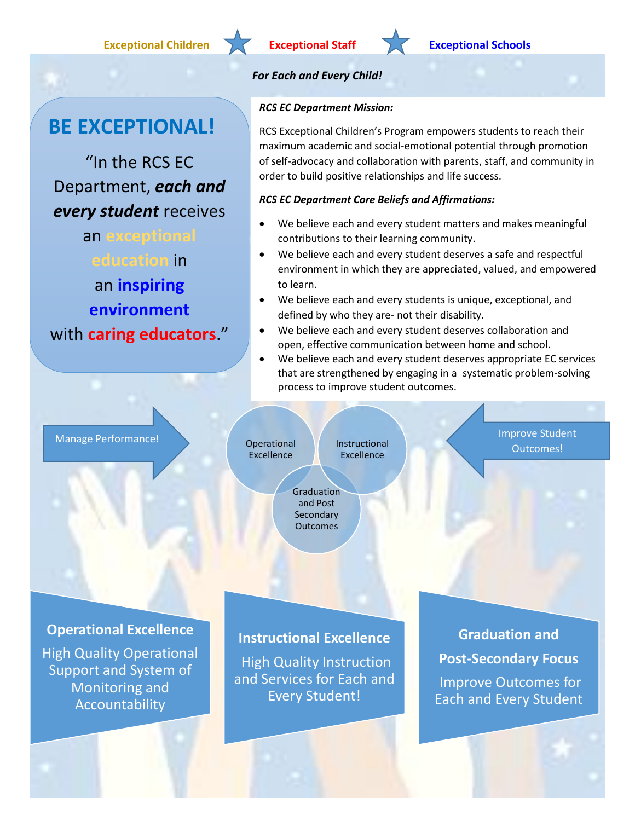## **Exceptional Children Exceptional Staff Exceptional Schools**

# **BE EXCEPTIONAL!**

"In the RCS EC Department, *each and every student* receives

an **exceptional education** in an **inspiring environment** with **caring educators**."

## *For Each and Every Child!*

## *RCS EC Department Mission:*

RCS Exceptional Children's Program empowers students to reach their maximum academic and social-emotional potential through promotion of self-advocacy and collaboration with parents, staff, and community in order to build positive relationships and life success.

## *RCS EC Department Core Beliefs and Affirmations:*

- We believe each and every student matters and makes meaningful contributions to their learning community.
- We believe each and every student deserves a safe and respectful environment in which they are appreciated, valued, and empowered to learn.
- We believe each and every students is unique, exceptional, and defined by who they are- not their disability.
- We believe each and every student deserves collaboration and open, effective communication between home and school.
- We believe each and every student deserves appropriate EC services that are strengthened by engaging in a systematic problem-solving process to improve student outcomes.

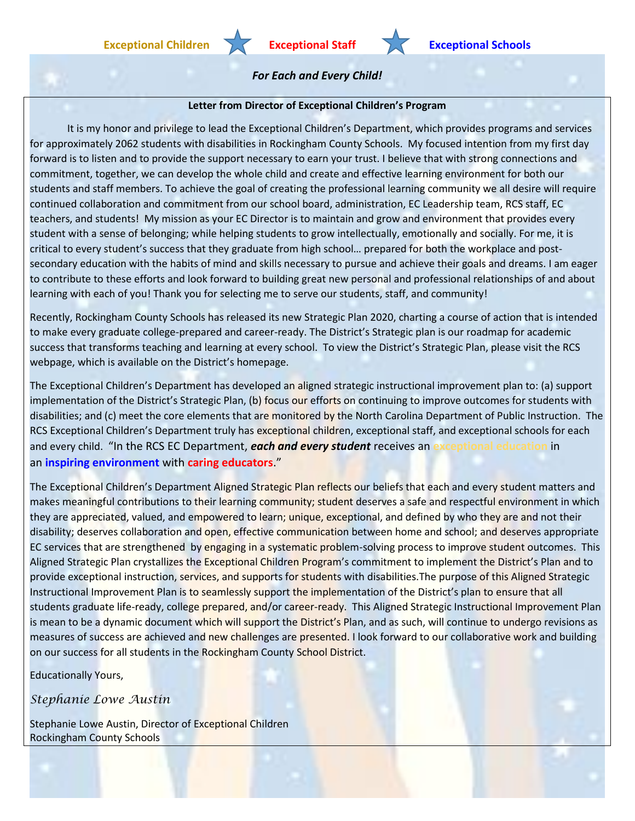### **Letter from Director of Exceptional Children's Program**

It is my honor and privilege to lead the Exceptional Children's Department, which provides programs and services for approximately 2062 students with disabilities in Rockingham County Schools. My focused intention from my first day forward is to listen and to provide the support necessary to earn your trust. I believe that with strong connections and commitment, together, we can develop the whole child and create and effective learning environment for both our students and staff members. To achieve the goal of creating the professional learning community we all desire will require continued collaboration and commitment from our school board, administration, EC Leadership team, RCS staff, EC teachers, and students! My mission as your EC Director is to maintain and grow and environment that provides every student with a sense of belonging; while helping students to grow intellectually, emotionally and socially. For me, it is critical to every student's success that they graduate from high school… prepared for both the workplace and postsecondary education with the habits of mind and skills necessary to pursue and achieve their goals and dreams. I am eager to contribute to these efforts and look forward to building great new personal and professional relationships of and about learning with each of you! Thank you for selecting me to serve our students, staff, and community!

Recently, Rockingham County Schools has released its new Strategic Plan 2020, charting a course of action that is intended to make every graduate college-prepared and career-ready. The District's Strategic plan is our roadmap for academic success that transforms teaching and learning at every school. To view the District's Strategic Plan, please visit the RCS webpage, which is available on the District's homepage.

The Exceptional Children's Department has developed an aligned strategic instructional improvement plan to: (a) support implementation of the District's Strategic Plan, (b) focus our efforts on continuing to improve outcomes for students with disabilities; and (c) meet the core elements that are monitored by the North Carolina Department of Public Instruction. The RCS Exceptional Children's Department truly has exceptional children, exceptional staff, and exceptional schools for each and every child. "In the RCS EC Department, *each and every student* receives an **exceptional education** in an **inspiring environment** with **caring educators**."

The Exceptional Children's Department Aligned Strategic Plan reflects our beliefs that each and every student matters and makes meaningful contributions to their learning community; student deserves a safe and respectful environment in which they are appreciated, valued, and empowered to learn; unique, exceptional, and defined by who they are and not their disability; deserves collaboration and open, effective communication between home and school; and deserves appropriate EC services that are strengthened by engaging in a systematic problem-solving process to improve student outcomes. This Aligned Strategic Plan crystallizes the Exceptional Children Program's commitment to implement the District's Plan and to provide exceptional instruction, services, and supports for students with disabilities.The purpose of this Aligned Strategic Instructional Improvement Plan is to seamlessly support the implementation of the District's plan to ensure that all students graduate life-ready, college prepared, and/or career-ready. This Aligned Strategic Instructional Improvement Plan is mean to be a dynamic document which will support the District's Plan, and as such, will continue to undergo revisions as measures of success are achieved and new challenges are presented. I look forward to our collaborative work and building on our success for all students in the Rockingham County School District.

Educationally Yours,

*Stephanie Lowe Austin*

Stephanie Lowe Austin, Director of Exceptional Children Rockingham County Schools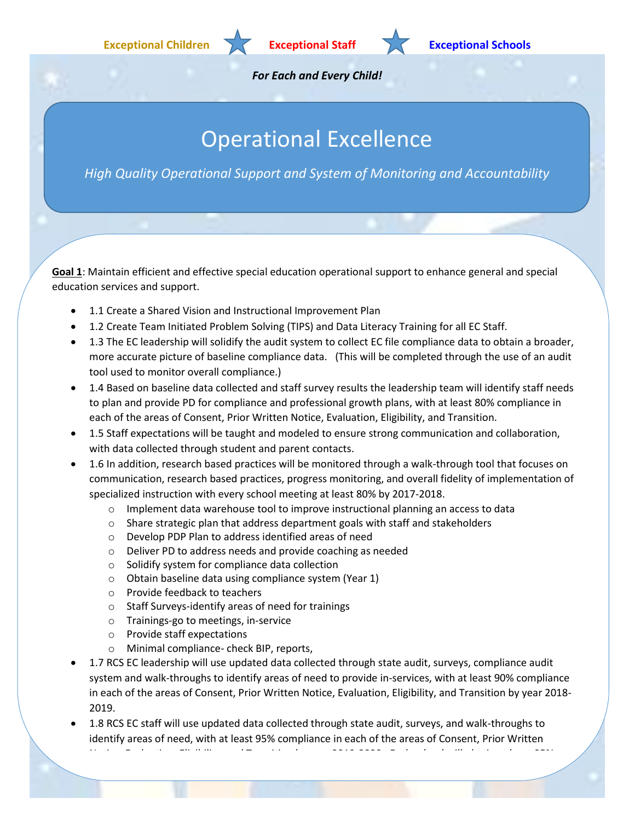

# Operational Excellence

*High Quality Operational Support and System of Monitoring and Accountability*

**Goal 1**: Maintain efficient and effective special education operational support to enhance general and special education services and support.

- 1.1 Create a Shared Vision and Instructional Improvement Plan
- 1.2 Create Team Initiated Problem Solving (TIPS) and Data Literacy Training for all EC Staff.
- 1.3 The EC leadership will solidify the audit system to collect EC file compliance data to obtain a broader, more accurate picture of baseline compliance data. (This will be completed through the use of an audit tool used to monitor overall compliance.)
- 1.4 Based on baseline data collected and staff survey results the leadership team will identify staff needs to plan and provide PD for compliance and professional growth plans, with at least 80% compliance in each of the areas of Consent, Prior Written Notice, Evaluation, Eligibility, and Transition.
- 1.5 Staff expectations will be taught and modeled to ensure strong communication and collaboration, with data collected through student and parent contacts.
- 1.6 In addition, research based practices will be monitored through a walk-through tool that focuses on communication, research based practices, progress monitoring, and overall fidelity of implementation of specialized instruction with every school meeting at least 80% by 2017-2018.
	- $\circ$  Implement data warehouse tool to improve instructional planning an access to data
	- o Share strategic plan that address department goals with staff and stakeholders
	- o Develop PDP Plan to address identified areas of need
	- o Deliver PD to address needs and provide coaching as needed
	- o Solidify system for compliance data collection
	- o Obtain baseline data using compliance system (Year 1)
	- o Provide feedback to teachers
	- o Staff Surveys-identify areas of need for trainings
	- o Trainings-go to meetings, in-service
	- o Provide staff expectations
	- o Minimal compliance- check BIP, reports,
- 1.7 RCS EC leadership will use updated data collected through state audit, surveys, compliance audit system and walk-throughs to identify areas of need to provide in-services, with at least 90% compliance in each of the areas of Consent, Prior Written Notice, Evaluation, Eligibility, and Transition by year 2018- 2019.

Notice, Evaluation, Eligibility, and Transition by year 2019-2020. Each school will obtain at least 95%

 1.8 RCS EC staff will use updated data collected through state audit, surveys, and walk-throughs to identify areas of need, with at least 95% compliance in each of the areas of Consent, Prior Written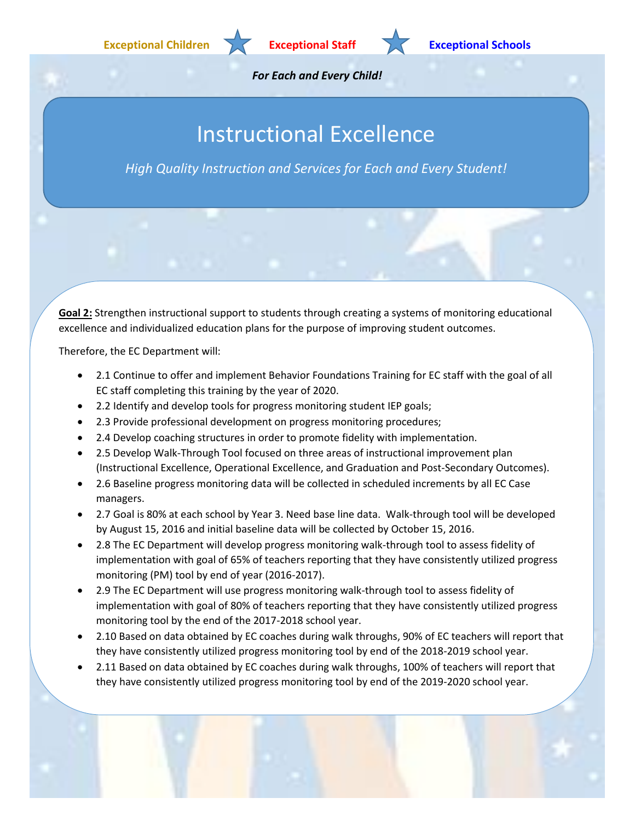

# Instructional Excellence

*High Quality Instruction and Services for Each and Every Student!*

**Goal 2:** Strengthen instructional support to students through creating a systems of monitoring educational excellence and individualized education plans for the purpose of improving student outcomes.

Therefore, the EC Department will:

- 2.1 Continue to offer and implement Behavior Foundations Training for EC staff with the goal of all EC staff completing this training by the year of 2020.
- 2.2 Identify and develop tools for progress monitoring student IEP goals;
- 2.3 Provide professional development on progress monitoring procedures;
- 2.4 Develop coaching structures in order to promote fidelity with implementation.
- 2.5 Develop Walk-Through Tool focused on three areas of instructional improvement plan (Instructional Excellence, Operational Excellence, and Graduation and Post-Secondary Outcomes).
- 2.6 Baseline progress monitoring data will be collected in scheduled increments by all EC Case managers.
- 2.7 Goal is 80% at each school by Year 3. Need base line data. Walk-through tool will be developed by August 15, 2016 and initial baseline data will be collected by October 15, 2016.
- 2.8 The EC Department will develop progress monitoring walk-through tool to assess fidelity of implementation with goal of 65% of teachers reporting that they have consistently utilized progress monitoring (PM) tool by end of year (2016-2017).
- 2.9 The EC Department will use progress monitoring walk-through tool to assess fidelity of implementation with goal of 80% of teachers reporting that they have consistently utilized progress monitoring tool by the end of the 2017-2018 school year.
- 2.10 Based on data obtained by EC coaches during walk throughs, 90% of EC teachers will report that they have consistently utilized progress monitoring tool by end of the 2018-2019 school year.
- 2.11 Based on data obtained by EC coaches during walk throughs, 100% of teachers will report that they have consistently utilized progress monitoring tool by end of the 2019-2020 school year.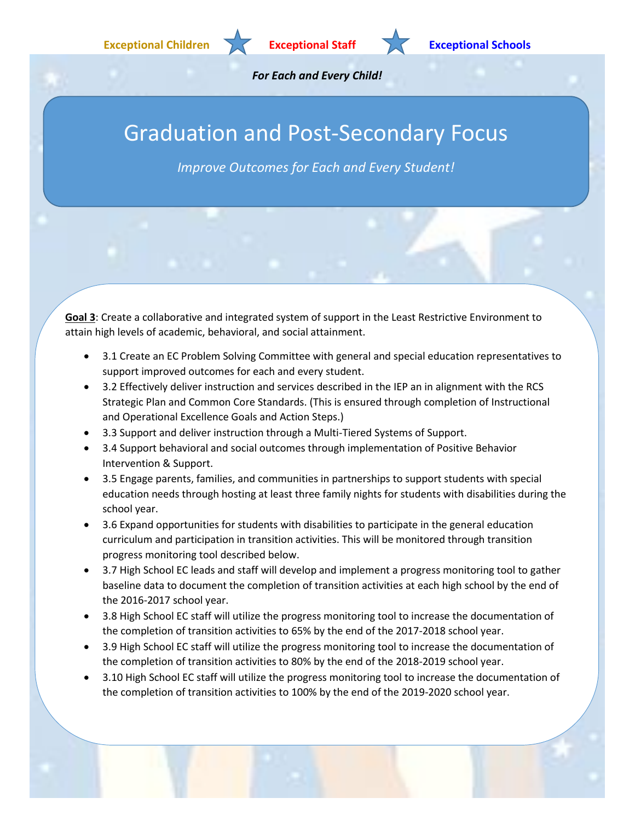

# Graduation and Post-Secondary Focus

*Improve Outcomes for Each and Every Student!*

**Goal 3**: Create a collaborative and integrated system of support in the Least Restrictive Environment to attain high levels of academic, behavioral, and social attainment.

- 3.1 Create an EC Problem Solving Committee with general and special education representatives to support improved outcomes for each and every student.
- 3.2 Effectively deliver instruction and services described in the IEP an in alignment with the RCS Strategic Plan and Common Core Standards. (This is ensured through completion of Instructional and Operational Excellence Goals and Action Steps.)
- 3.3 Support and deliver instruction through a Multi-Tiered Systems of Support.
- 3.4 Support behavioral and social outcomes through implementation of Positive Behavior Intervention & Support.
- 3.5 Engage parents, families, and communities in partnerships to support students with special education needs through hosting at least three family nights for students with disabilities during the school year.
- 3.6 Expand opportunities for students with disabilities to participate in the general education curriculum and participation in transition activities. This will be monitored through transition progress monitoring tool described below.
- 3.7 High School EC leads and staff will develop and implement a progress monitoring tool to gather baseline data to document the completion of transition activities at each high school by the end of the 2016-2017 school year.
- 3.8 High School EC staff will utilize the progress monitoring tool to increase the documentation of the completion of transition activities to 65% by the end of the 2017-2018 school year.
- 3.9 High School EC staff will utilize the progress monitoring tool to increase the documentation of the completion of transition activities to 80% by the end of the 2018-2019 school year.
- 3.10 High School EC staff will utilize the progress monitoring tool to increase the documentation of the completion of transition activities to 100% by the end of the 2019-2020 school year.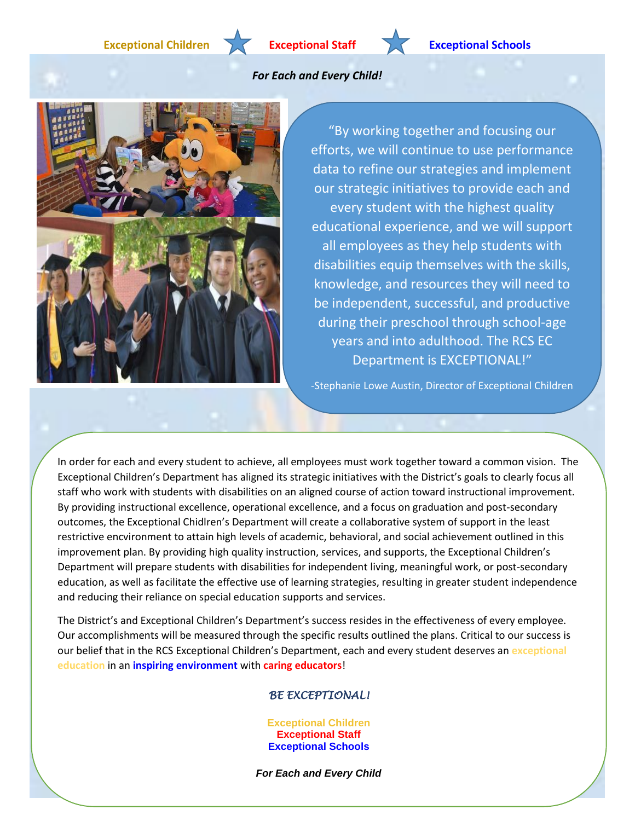**Exceptional Children Exceptional Staff Exceptional Schools**

### *For Each and Every Child!*



"By working together and focusing our efforts, we will continue to use performance data to refine our strategies and implement our strategic initiatives to provide each and every student with the highest quality educational experience, and we will support all employees as they help students with disabilities equip themselves with the skills, knowledge, and resources they will need to be independent, successful, and productive during their preschool through school-age years and into adulthood. The RCS EC Department is EXCEPTIONAL!"

-Stephanie Lowe Austin, Director of Exceptional Children

In order for each and every student to achieve, all employees must work together toward a common vision. The Exceptional Children's Department has aligned its strategic initiatives with the District's goals to clearly focus all staff who work with students with disabilities on an aligned course of action toward instructional improvement. By providing instructional excellence, operational excellence, and a focus on graduation and post-secondary outcomes, the Exceptional Chidlren's Department will create a collaborative system of support in the least restrictive encvironment to attain high levels of academic, behavioral, and social achievement outlined in this improvement plan. By providing high quality instruction, services, and supports, the Exceptional Children's Department will prepare students with disabilities for independent living, meaningful work, or post-secondary education, as well as facilitate the effective use of learning strategies, resulting in greater student independence and reducing their reliance on special education supports and services.

The District's and Exceptional Children's Department's success resides in the effectiveness of every employee. Our accomplishments will be measured through the specific results outlined the plans. Critical to our success is our belief that in the RCS Exceptional Children's Department, each and every student deserves an **exceptional education** in an **inspiring environment** with **caring educators**!

### *BE EXCEPTIONAL!*

**Exceptional Children Exceptional Staff Exceptional Schools**

*For Each and Every Child*